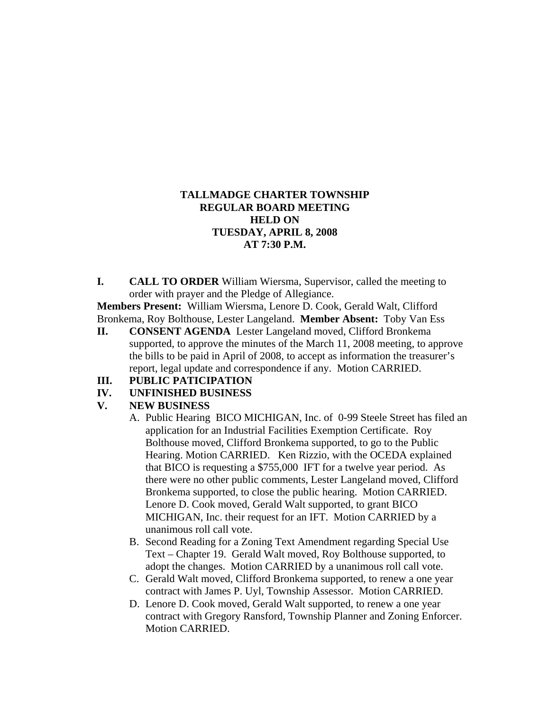## **TALLMADGE CHARTER TOWNSHIP REGULAR BOARD MEETING HELD ON TUESDAY, APRIL 8, 2008 AT 7:30 P.M.**

**I. CALL TO ORDER** William Wiersma, Supervisor, called the meeting to order with prayer and the Pledge of Allegiance.

**Members Present:** William Wiersma, Lenore D. Cook, Gerald Walt, Clifford Bronkema, Roy Bolthouse, Lester Langeland. **Member Absent:** Toby Van Ess

**II. CONSENT AGENDA** Lester Langeland moved, Clifford Bronkema supported, to approve the minutes of the March 11, 2008 meeting, to approve the bills to be paid in April of 2008, to accept as information the treasurer's report, legal update and correspondence if any. Motion CARRIED.

## **III. PUBLIC PATICIPATION**

## **IV. UNFINISHED BUSINESS**

## **V. NEW BUSINESS**

- A. Public Hearing BICO MICHIGAN, Inc. of 0-99 Steele Street has filed an application for an Industrial Facilities Exemption Certificate. Roy Bolthouse moved, Clifford Bronkema supported, to go to the Public Hearing. Motion CARRIED. Ken Rizzio, with the OCEDA explained that BICO is requesting a \$755,000 IFT for a twelve year period. As there were no other public comments, Lester Langeland moved, Clifford Bronkema supported, to close the public hearing. Motion CARRIED. Lenore D. Cook moved, Gerald Walt supported, to grant BICO MICHIGAN, Inc. their request for an IFT. Motion CARRIED by a unanimous roll call vote.
- B. Second Reading for a Zoning Text Amendment regarding Special Use Text – Chapter 19. Gerald Walt moved, Roy Bolthouse supported, to adopt the changes. Motion CARRIED by a unanimous roll call vote.
- C. Gerald Walt moved, Clifford Bronkema supported, to renew a one year contract with James P. Uyl, Township Assessor. Motion CARRIED.
- D. Lenore D. Cook moved, Gerald Walt supported, to renew a one year contract with Gregory Ransford, Township Planner and Zoning Enforcer. Motion CARRIED.